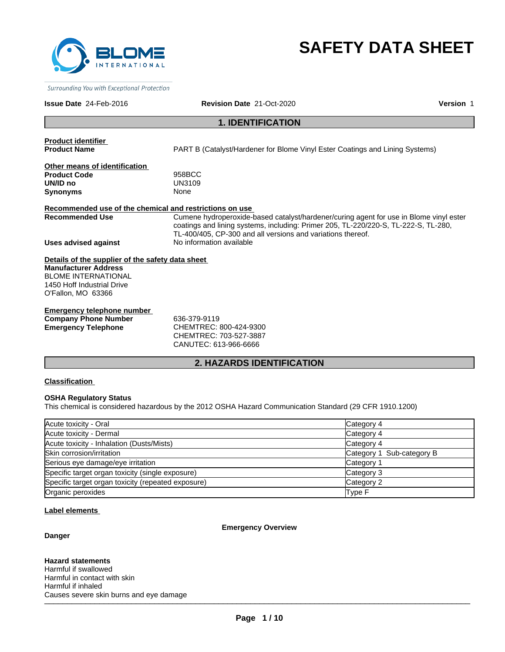

# **SAFETY DATA SHEET**

Surrounding You with Exceptional Protection

#### **Issue Date** 24-Feb-2016 **Revision Date** 21-Oct-2020 **Version** 1

# **1. IDENTIFICATION**

**Product identifier** 

PART B (Catalyst/Hardener for Blome Vinyl Ester Coatings and Lining Systems)

**Other means of identification Product Code** 958BCC **UN/ID no** UN3109<br> **Synonyms** None **Synonyms** 

**Recommended use of the chemical and restrictions on use Recommended Use** Cumene hydroperoxide-based catalyst/hardener/curing agent for use in Blome vinyl ester coatings and lining systems, including: Primer 205, TL-220/220-S, TL-222-S, TL-280,

TL-400/405, CP-300 and all versions and variations thereof. **Uses advised against** No information available

**Details of the supplier of the safety data sheet Manufacturer Address** BLOME INTERNATIONAL 1450 Hoff Industrial Drive O'Fallon, MO 63366

**Emergency telephone number**<br>**Company Phone Number** 636-379-9119 **Company Phone Number Emergency Telephone** CHEMTREC: 800-424-9300

CHEMTREC: 703-527-3887 CANUTEC: 613-966-6666

# **2. HAZARDS IDENTIFICATION**

#### **Classification**

# **OSHA Regulatory Status**

This chemical is considered hazardous by the 2012 OSHA Hazard Communication Standard (29 CFR 1910.1200)

| Acute toxicity - Oral                              | Category 4                |
|----------------------------------------------------|---------------------------|
| Acute toxicity - Dermal                            | Category 4                |
| Acute toxicity - Inhalation (Dusts/Mists)          | Category 4                |
| Skin corrosion/irritation                          | Category 1 Sub-category B |
| Serious eye damage/eye irritation                  | Category 1                |
| Specific target organ toxicity (single exposure)   | Category 3                |
| Specific target organ toxicity (repeated exposure) | Category 2                |
| Organic peroxides                                  | Type F                    |

# **Label elements**

# **Danger**

**Emergency Overview**

**Hazard statements**

 $\blacksquare$ Harmful if swallowed Harmful in contact with skin Harmful if inhaled Causes severe skin burns and eye damage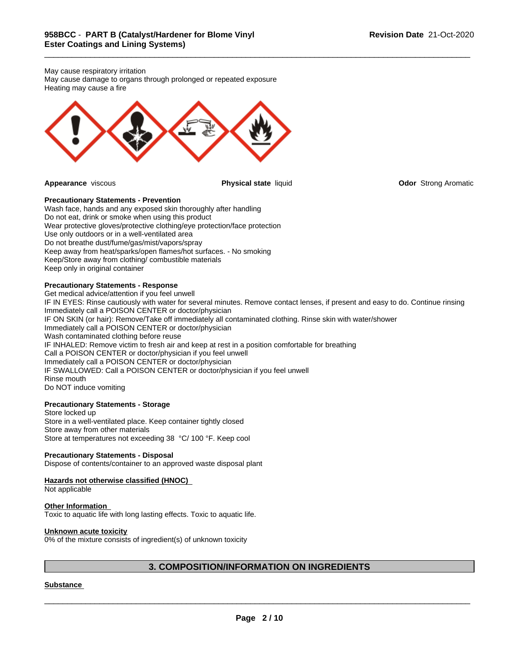May cause respiratory irritation

May cause damage to organs through prolonged or repeated exposure Heating may cause a fire



\_\_\_\_\_\_\_\_\_\_\_\_\_\_\_\_\_\_\_\_\_\_\_\_\_\_\_\_\_\_\_\_\_\_\_\_\_\_\_\_\_\_\_\_\_\_\_\_\_\_\_\_\_\_\_\_\_\_\_\_\_\_\_\_\_\_\_\_\_\_\_\_\_\_\_\_\_\_\_\_\_\_\_\_\_\_\_\_\_\_\_\_\_

**Appearance** viscous **Physical state** liquid **Odor** Strong Aromatic

# **Precautionary Statements - Prevention**

Wash face, hands and any exposed skin thoroughly after handling Do not eat, drink or smoke when using this product Wear protective gloves/protective clothing/eye protection/face protection Use only outdoors or in a well-ventilated area Do not breathe dust/fume/gas/mist/vapors/spray Keep away from heat/sparks/open flames/hot surfaces. - No smoking Keep/Store away from clothing/ combustible materials Keep only in original container

#### **Precautionary Statements - Response**

Get medical advice/attention if you feel unwell IF IN EYES: Rinse cautiously with water for several minutes. Remove contact lenses, if present and easy to do. Continue rinsing Immediately call a POISON CENTER or doctor/physician IF ON SKIN (or hair): Remove/Take off immediately all contaminated clothing. Rinse skin with water/shower Immediately call a POISON CENTER or doctor/physician Wash contaminated clothing before reuse IF INHALED: Remove victim to fresh air and keep at rest in a position comfortable for breathing Call a POISON CENTER or doctor/physician if you feel unwell Immediately call a POISON CENTER or doctor/physician IF SWALLOWED: Call a POISON CENTER or doctor/physician if you feel unwell Rinse mouth Do NOT induce vomiting

# **Precautionary Statements - Storage**

Store locked up Store in a well-ventilated place. Keep container tightly closed Store away from other materials Store at temperatures not exceeding 38 °C/ 100 °F. Keep cool

# **Precautionary Statements - Disposal**

Dispose of contents/container to an approved waste disposal plant

# **Hazards not otherwise classified (HNOC)**

Not applicable

### **Other Information**

Toxic to aquatic life with long lasting effects. Toxic to aquatic life.

#### **Unknown acute toxicity**

0% of the mixture consists of ingredient(s) of unknown toxicity

# **3. COMPOSITION/INFORMATION ON INGREDIENTS**

# **Substance**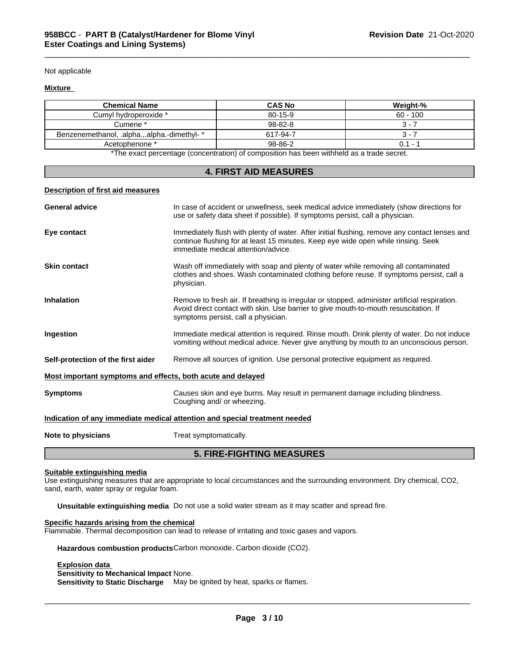Not applicable

# **Mixture**

| <b>Chemical Name</b>                                                                                              | <b>CAS No</b> | Weight-%   |  |  |
|-------------------------------------------------------------------------------------------------------------------|---------------|------------|--|--|
| Cumvl hvdroperoxide *                                                                                             | $80 - 15 - 9$ | $60 - 100$ |  |  |
| Cumene *                                                                                                          | $98 - 82 - 8$ | ว.         |  |  |
| Benzenemethanol, .alpha.,.alpha.-dimethyl-*                                                                       | 617-94-7      | ว. 7       |  |  |
| Acetophenone *                                                                                                    | 98-86-2       | 0.1 - 1    |  |  |
| . ₩The concert a concertainty for a contaction) of contact at the hold he cannot habit at the concertainty of the |               |            |  |  |

\_\_\_\_\_\_\_\_\_\_\_\_\_\_\_\_\_\_\_\_\_\_\_\_\_\_\_\_\_\_\_\_\_\_\_\_\_\_\_\_\_\_\_\_\_\_\_\_\_\_\_\_\_\_\_\_\_\_\_\_\_\_\_\_\_\_\_\_\_\_\_\_\_\_\_\_\_\_\_\_\_\_\_\_\_\_\_\_\_\_\_\_\_

The exact percentage (concentration) of composition has been withheld as a trade secret.

# **4. FIRST AID MEASURES**

# **Description of first aid measures**

|                                                             | <b>5. FIRE-FIGHTING MEASURES</b>                                                                                                                                                                                             |
|-------------------------------------------------------------|------------------------------------------------------------------------------------------------------------------------------------------------------------------------------------------------------------------------------|
| Note to physicians                                          | Treat symptomatically.                                                                                                                                                                                                       |
|                                                             | Indication of any immediate medical attention and special treatment needed                                                                                                                                                   |
| <b>Symptoms</b>                                             | Causes skin and eye burns. May result in permanent damage including blindness.<br>Coughing and/ or wheezing.                                                                                                                 |
| Most important symptoms and effects, both acute and delayed |                                                                                                                                                                                                                              |
| Self-protection of the first aider                          | Remove all sources of ignition. Use personal protective equipment as required.                                                                                                                                               |
| Ingestion                                                   | Immediate medical attention is required. Rinse mouth. Drink plenty of water. Do not induce<br>vomiting without medical advice. Never give anything by mouth to an unconscious person.                                        |
| <b>Inhalation</b>                                           | Remove to fresh air. If breathing is irregular or stopped, administer artificial respiration.<br>Avoid direct contact with skin. Use barrier to give mouth-to-mouth resuscitation. If<br>symptoms persist, call a physician. |
| <b>Skin contact</b>                                         | Wash off immediately with soap and plenty of water while removing all contaminated<br>clothes and shoes. Wash contaminated clothing before reuse. If symptoms persist, call a<br>physician.                                  |
| Eye contact                                                 | Immediately flush with plenty of water. After initial flushing, remove any contact lenses and<br>continue flushing for at least 15 minutes. Keep eye wide open while rinsing. Seek<br>immediate medical attention/advice.    |
| <b>General advice</b>                                       | In case of accident or unwellness, seek medical advice immediately (show directions for<br>use or safety data sheet if possible). If symptoms persist, call a physician.                                                     |

# **Suitable extinguishing media**

Use extinguishing measures that are appropriate to local circumstances and the surrounding environment. Dry chemical, CO2, sand, earth, water spray or regular foam.

**Unsuitable extinguishing media** Do not use a solid water stream as it may scatter and spread fire.

#### **Specific hazards arising from the chemical** Flammable. Thermal decomposition can lead to release of irritating and toxic gases and vapors.

**Hazardous combustion products**Carbon monoxide. Carbon dioxide (CO2).

**Explosion data** 

#### **Sensitivity to Mechanical Impact** None.

**Sensitivity to Static Discharge** May be ignited by heat, sparks or flames.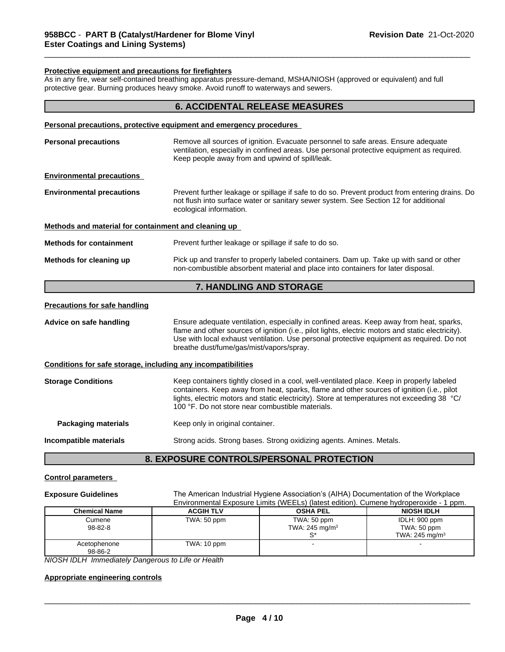# **Protective equipment and precautions for firefighters**

As in any fire, wear self-contained breathing apparatus pressure-demand, MSHA/NIOSH (approved or equivalent) and full protective gear. Burning produces heavy smoke. Avoid runoff to waterways and sewers.

|                                                              | <b>6. ACCIDENTAL RELEASE MEASURES</b>                                                                                                                                                                                                                                                                                                     |  |
|--------------------------------------------------------------|-------------------------------------------------------------------------------------------------------------------------------------------------------------------------------------------------------------------------------------------------------------------------------------------------------------------------------------------|--|
|                                                              | Personal precautions, protective equipment and emergency procedures                                                                                                                                                                                                                                                                       |  |
| <b>Personal precautions</b>                                  | Remove all sources of ignition. Evacuate personnel to safe areas. Ensure adequate<br>ventilation, especially in confined areas. Use personal protective equipment as required.<br>Keep people away from and upwind of spill/leak.                                                                                                         |  |
| <b>Environmental precautions</b>                             |                                                                                                                                                                                                                                                                                                                                           |  |
| <b>Environmental precautions</b>                             | Prevent further leakage or spillage if safe to do so. Prevent product from entering drains. Do<br>not flush into surface water or sanitary sewer system. See Section 12 for additional<br>ecological information.                                                                                                                         |  |
| Methods and material for containment and cleaning up         |                                                                                                                                                                                                                                                                                                                                           |  |
| <b>Methods for containment</b>                               | Prevent further leakage or spillage if safe to do so.                                                                                                                                                                                                                                                                                     |  |
| Methods for cleaning up                                      | Pick up and transfer to properly labeled containers. Dam up. Take up with sand or other<br>non-combustible absorbent material and place into containers for later disposal.                                                                                                                                                               |  |
|                                                              | 7. HANDLING AND STORAGE                                                                                                                                                                                                                                                                                                                   |  |
| <b>Precautions for safe handling</b>                         |                                                                                                                                                                                                                                                                                                                                           |  |
| Advice on safe handling                                      | Ensure adequate ventilation, especially in confined areas. Keep away from heat, sparks,<br>flame and other sources of ignition (i.e., pilot lights, electric motors and static electricity).<br>Use with local exhaust ventilation. Use personal protective equipment as required. Do not<br>breathe dust/fume/gas/mist/vapors/spray.     |  |
| Conditions for safe storage, including any incompatibilities |                                                                                                                                                                                                                                                                                                                                           |  |
| <b>Storage Conditions</b>                                    | Keep containers tightly closed in a cool, well-ventilated place. Keep in properly labeled<br>containers. Keep away from heat, sparks, flame and other sources of ignition (i.e., pilot<br>lights, electric motors and static electricity). Store at temperatures not exceeding 38 °C/<br>100 °F. Do not store near combustible materials. |  |
| <b>Packaging materials</b>                                   | Keep only in original container.                                                                                                                                                                                                                                                                                                          |  |
| Incompatible materials                                       | Strong acids. Strong bases. Strong oxidizing agents. Amines. Metals.                                                                                                                                                                                                                                                                      |  |

# **8. EXPOSURE CONTROLS/PERSONAL PROTECTION**

# **Control parameters**

Exposure Guidelines The American Industrial Hygiene Association's (AIHA) Documentation of the Workplace Environmental Exposure Limits (WEELs) (latest edition). Cumene hydroperoxide - 1 ppm.

| <b>Chemical Name</b>    | <b>ACGIH TLV</b> | <b>OSHA PEL</b>                        | <b>NIOSH IDLH</b>                                          |
|-------------------------|------------------|----------------------------------------|------------------------------------------------------------|
| Cumene<br>$98 - 82 - 8$ | TWA: 50 ppm      | TWA: 50 ppm<br>TWA: 245 mg/m $3$<br>r* | IDLH: 900 ppm<br>TWA: 50 ppm<br>TWA: 245 mg/m <sup>3</sup> |
| Acetophenone<br>98-86-2 | TWA: 10 ppm      |                                        |                                                            |

*NIOSH IDLH Immediately Dangerous to Life or Health*

#### **Appropriate engineering controls**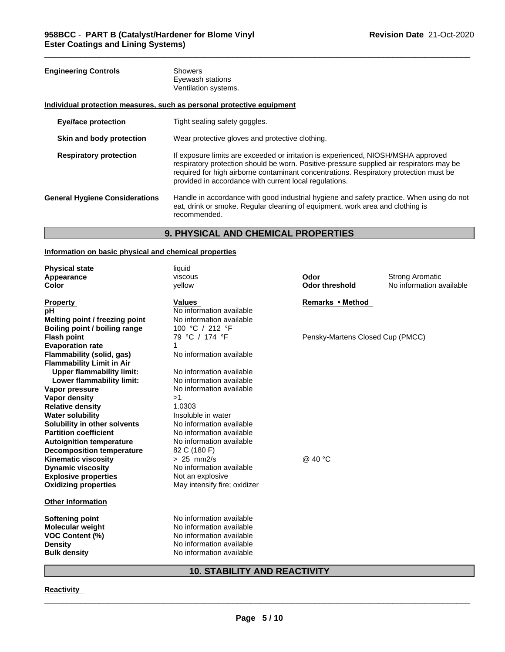| <b>Engineering Controls</b>           | Showers<br>Eyewash stations<br>Ventilation systems.                                                                                                                                                                                                                                                                              |  |
|---------------------------------------|----------------------------------------------------------------------------------------------------------------------------------------------------------------------------------------------------------------------------------------------------------------------------------------------------------------------------------|--|
|                                       | Individual protection measures, such as personal protective equipment                                                                                                                                                                                                                                                            |  |
| <b>Eye/face protection</b>            | Tight sealing safety goggles.                                                                                                                                                                                                                                                                                                    |  |
| Skin and body protection              | Wear protective gloves and protective clothing.                                                                                                                                                                                                                                                                                  |  |
| <b>Respiratory protection</b>         | If exposure limits are exceeded or irritation is experienced, NIOSH/MSHA approved<br>respiratory protection should be worn. Positive-pressure supplied air respirators may be<br>required for high airborne contaminant concentrations. Respiratory protection must be<br>provided in accordance with current local regulations. |  |
| <b>General Hygiene Considerations</b> | Handle in accordance with good industrial hygiene and safety practice. When using do not<br>eat, drink or smoke. Regular cleaning of equipment, work area and clothing is<br>recommended.                                                                                                                                        |  |

# **9. PHYSICAL AND CHEMICAL PROPERTIES**

# **Information on basic physical and chemical properties**

| <b>Physical state</b>            | liquid                       |                                  |                          |
|----------------------------------|------------------------------|----------------------------------|--------------------------|
| Appearance                       | viscous                      | Odor                             | <b>Strong Aromatic</b>   |
| <b>Color</b>                     | yellow                       | <b>Odor threshold</b>            | No information available |
| <b>Property</b>                  | <b>Values</b>                | Remarks • Method                 |                          |
| рH                               | No information available     |                                  |                          |
| Melting point / freezing point   | No information available     |                                  |                          |
| Boiling point / boiling range    | 100 °C / 212 °F              |                                  |                          |
| <b>Flash point</b>               | 79 °C / 174 °F               | Pensky-Martens Closed Cup (PMCC) |                          |
| <b>Evaporation rate</b>          |                              |                                  |                          |
| Flammability (solid, gas)        | No information available     |                                  |                          |
| <b>Flammability Limit in Air</b> |                              |                                  |                          |
| <b>Upper flammability limit:</b> | No information available     |                                  |                          |
| Lower flammability limit:        | No information available     |                                  |                          |
| Vapor pressure                   | No information available     |                                  |                          |
| Vapor density                    | >1                           |                                  |                          |
| <b>Relative density</b>          | 1.0303                       |                                  |                          |
| <b>Water solubility</b>          | Insoluble in water           |                                  |                          |
| Solubility in other solvents     | No information available     |                                  |                          |
| <b>Partition coefficient</b>     | No information available     |                                  |                          |
| <b>Autoignition temperature</b>  | No information available     |                                  |                          |
| <b>Decomposition temperature</b> | 82 C (180 F)                 |                                  |                          |
| <b>Kinematic viscosity</b>       | $> 25$ mm2/s                 | @ 40 °C                          |                          |
| <b>Dynamic viscosity</b>         | No information available     |                                  |                          |
| <b>Explosive properties</b>      | Not an explosive             |                                  |                          |
| <b>Oxidizing properties</b>      | May intensify fire; oxidizer |                                  |                          |
| <b>Other Information</b>         |                              |                                  |                          |
| <b>Softening point</b>           | No information available     |                                  |                          |
| <b>Molecular weight</b>          | No information available     |                                  |                          |
| <b>VOC Content (%)</b>           | No information available     |                                  |                          |
| <b>Density</b>                   | No information available     |                                  |                          |
| <b>Bulk density</b>              | No information available     |                                  |                          |

# **10. STABILITY AND REACTIVITY**

# **Reactivity**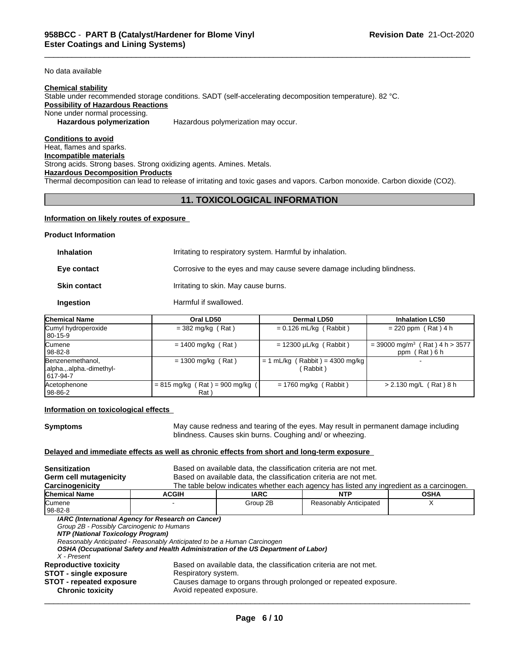No data available

**Chemical stability** Stable under recommended storage conditions. SADT (self-accelerating decomposition temperature). 82 °C. **Possibility of Hazardous Reactions** None under normal processing. Hazardous polymerization Hazardous polymerization may occur.

**Conditions to avoid** Heat, flames and sparks. **Incompatible materials** Strong acids. Strong bases. Strong oxidizing agents. Amines. Metals. **Hazardous Decomposition Products** Thermal decomposition can lead to release of irritating and toxic gases and vapors. Carbon monoxide. Carbon dioxide (CO2).

# **11. TOXICOLOGICAL INFORMATION**

\_\_\_\_\_\_\_\_\_\_\_\_\_\_\_\_\_\_\_\_\_\_\_\_\_\_\_\_\_\_\_\_\_\_\_\_\_\_\_\_\_\_\_\_\_\_\_\_\_\_\_\_\_\_\_\_\_\_\_\_\_\_\_\_\_\_\_\_\_\_\_\_\_\_\_\_\_\_\_\_\_\_\_\_\_\_\_\_\_\_\_\_\_

# **Information on likely routes of exposure**

| <b>Product Information</b> |  |
|----------------------------|--|
|----------------------------|--|

| <b>Inhalation</b>   | Irritating to respiratory system. Harmful by inhalation.               |
|---------------------|------------------------------------------------------------------------|
| Eye contact         | Corrosive to the eyes and may cause severe damage including blindness. |
| <b>Skin contact</b> | Irritating to skin. May cause burns.                                   |
| <b>Ingestion</b>    | Harmful if swallowed.                                                  |

| <b>Chemical Name</b>                                       | Oral LD50                                          | <b>Dermal LD50</b>                            | <b>Inhalation LC50</b>                                        |
|------------------------------------------------------------|----------------------------------------------------|-----------------------------------------------|---------------------------------------------------------------|
| Cumyl hydroperoxide<br>  80-15-9                           | $=$ 382 mg/kg (Rat)                                | $= 0.126$ mL/kg (Rabbit)                      | $= 220$ ppm (Rat) 4 h                                         |
| <b>Cumene</b><br>98-82-8                                   | $= 1400$ mg/kg (Rat)                               | $= 12300 \mu L/kg$ (Rabbit)                   | $=$ 39000 mg/m <sup>3</sup> (Rat) 4 h > 3577<br>ppm (Rat) 6 h |
| Benzenemethanol,<br>.alpha.,.alpha.-dimethyl-<br>1617-94-7 | $= 1300$ mg/kg (Rat)                               | $= 1$ mL/kg (Rabbit) = 4300 mg/kg<br>(Rabbit) |                                                               |
| Acetophenone<br>98-86-2                                    | $= 815 \text{ mg/kg}$ (Rat) = 900 mg/kg (<br>Rat ` | $= 1760$ mg/kg (Rabbit)                       | $> 2.130$ mg/L (Rat) 8 h                                      |

# **Information on toxicological effects**

**Symptoms** May cause redness and tearing of the eyes. May result in permanent damage including blindness. Causes skin burns. Coughing and/ or wheezing.

#### **Delayed and immediate effects as well as chronic effects from short and long-term exposure**

| <b>Sensitization</b>                                                                           | Based on available data, the classification criteria are not met.<br>Based on available data, the classification criteria are not met.                                                                               |             |                                                                                          |             |
|------------------------------------------------------------------------------------------------|----------------------------------------------------------------------------------------------------------------------------------------------------------------------------------------------------------------------|-------------|------------------------------------------------------------------------------------------|-------------|
| Germ cell mutagenicity<br>Carcinogenicity                                                      |                                                                                                                                                                                                                      |             | The table below indicates whether each agency has listed any ingredient as a carcinogen. |             |
| <b>Chemical Name</b>                                                                           | <b>ACGIH</b>                                                                                                                                                                                                         | <b>IARC</b> | <b>NTP</b>                                                                               | <b>OSHA</b> |
| <b>Cumene</b><br>  98-82-8                                                                     |                                                                                                                                                                                                                      | Group 2B    | Reasonably Anticipated                                                                   | X           |
| Group 2B - Possibly Carcinogenic to Humans<br>NTP (National Toxicology Program)<br>X - Present | IARC (International Agency for Research on Cancer)<br>Reasonably Anticipated - Reasonably Anticipated to be a Human Carcinogen<br>OSHA (Occupational Safety and Health Administration of the US Department of Labor) |             |                                                                                          |             |
| <b>Reproductive toxicity</b><br><b>STOT - single exposure</b>                                  | Based on available data, the classification criteria are not met.<br>Respiratory system.                                                                                                                             |             |                                                                                          |             |
| <b>STOT - repeated exposure</b><br><b>Chronic toxicity</b>                                     | Avoid repeated exposure.                                                                                                                                                                                             |             | Causes damage to organs through prolonged or repeated exposure.                          |             |
|                                                                                                |                                                                                                                                                                                                                      |             |                                                                                          |             |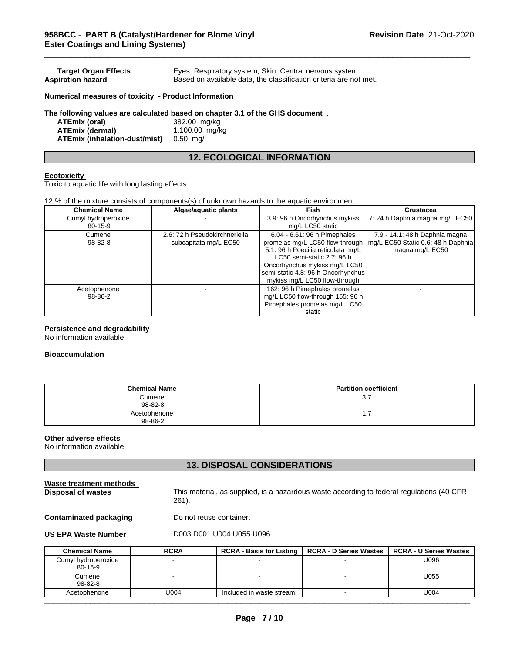| <b>Target Organ Effects</b> | Eyes, Respiratory system, Skin, Central nervous system.           |
|-----------------------------|-------------------------------------------------------------------|
| <b>Aspiration hazard</b>    | Based on available data, the classification criteria are not met. |
|                             |                                                                   |

# **Numerical measures of toxicity - Product Information**

# **The following values are calculated based on chapter 3.1 of the GHS document** .

| ATEmix (oral)                        | 382.00 mg/kg   |
|--------------------------------------|----------------|
| ATEmix (dermal)                      | 1,100.00 mg/kg |
| <b>ATEmix (inhalation-dust/mist)</b> | $0.50$ ma/l    |

# **12. ECOLOGICAL INFORMATION**

\_\_\_\_\_\_\_\_\_\_\_\_\_\_\_\_\_\_\_\_\_\_\_\_\_\_\_\_\_\_\_\_\_\_\_\_\_\_\_\_\_\_\_\_\_\_\_\_\_\_\_\_\_\_\_\_\_\_\_\_\_\_\_\_\_\_\_\_\_\_\_\_\_\_\_\_\_\_\_\_\_\_\_\_\_\_\_\_\_\_\_\_\_

#### **Ecotoxicity**

Toxic to aquatic life with long lasting effects

### 12 % of the mixture consists of components(s) of unknown hazards to the aquatic environment

| <b>Chemical Name</b> | Algae/aquatic plants          | Fish                               | Crustacea                           |
|----------------------|-------------------------------|------------------------------------|-------------------------------------|
| Cumyl hydroperoxide  |                               | 3.9: 96 h Oncorhynchus mykiss      | 7: 24 h Daphnia magna mg/L EC50     |
| $80 - 15 - 9$        |                               | mg/L LC50 static                   |                                     |
| Cumene               | 2.6: 72 h Pseudokirchneriella | 6.04 - 6.61: 96 h Pimephales       | 7.9 - 14.1: 48 h Daphnia magna      |
| $98 - 82 - 8$        | subcapitata mg/L EC50         | promelas mg/L LC50 flow-through    | Img/L EC50 Static 0.6: 48 h Daphnia |
|                      |                               | 5.1: 96 h Poecilia reticulata mg/L | magna mg/L EC50                     |
|                      |                               | LC50 semi-static 2.7: 96 h         |                                     |
|                      |                               | Oncorhynchus mykiss mg/L LC50      |                                     |
|                      |                               | semi-static 4.8: 96 h Oncorhynchus |                                     |
|                      |                               | mykiss mg/L LC50 flow-through      |                                     |
| Acetophenone         |                               | 162: 96 h Pimephales promelas      |                                     |
| 98-86-2              |                               | mg/L LC50 flow-through 155: 96 h   |                                     |
|                      |                               | Pimephales promelas mg/L LC50      |                                     |
|                      |                               | static                             |                                     |

# **Persistence and degradability**

No information available.

# **Bioaccumulation**

| <b>Chemical Name</b>    | <b>Partition coefficient</b> |
|-------------------------|------------------------------|
| Cumene<br>98-82-8       | 3.7                          |
| Acetophenone<br>98-86-2 | 1.7                          |

#### **Other adverse effects**

No information available

# **13. DISPOSAL CONSIDERATIONS**

| Waste treatment methods<br>Disposal of wastes | 261).                    | This material, as supplied, is a hazardous waste according to federal regulations (40 CFR |                               |                               |
|-----------------------------------------------|--------------------------|-------------------------------------------------------------------------------------------|-------------------------------|-------------------------------|
| <b>Contaminated packaging</b>                 |                          | Do not reuse container.                                                                   |                               |                               |
| <b>US EPA Waste Number</b>                    |                          | D003 D001 U004 U055 U096                                                                  |                               |                               |
| <b>Chemical Name</b>                          | <b>RCRA</b>              | <b>RCRA - Basis for Listing</b>                                                           | <b>RCRA - D Series Wastes</b> | <b>RCRA - U Series Wastes</b> |
| Cumyl hydroperoxide                           | $\overline{\phantom{0}}$ | $\overline{\phantom{a}}$                                                                  |                               | U096                          |

| _____<br>_______        |                |                           | ___<br>. | _ _ _ _ _ _ |
|-------------------------|----------------|---------------------------|----------|-------------|
| Cumyl hydroperoxide     | $\blacksquare$ |                           |          | U096        |
| 80-15-9                 |                |                           |          |             |
| Cumene<br>$98 - 82 - 8$ |                |                           |          | U055        |
| Acetophenone            | U004           | Included in waste stream: |          | U004        |
|                         |                |                           |          |             |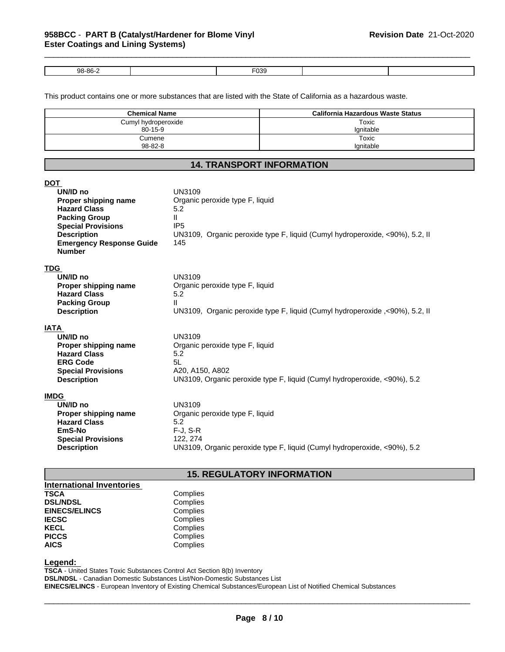| -<br>$-0.0$<br>QR.<br>൦൙<br>J.<br>$\cdot$<br>u. |  |
|-------------------------------------------------|--|

\_\_\_\_\_\_\_\_\_\_\_\_\_\_\_\_\_\_\_\_\_\_\_\_\_\_\_\_\_\_\_\_\_\_\_\_\_\_\_\_\_\_\_\_\_\_\_\_\_\_\_\_\_\_\_\_\_\_\_\_\_\_\_\_\_\_\_\_\_\_\_\_\_\_\_\_\_\_\_\_\_\_\_\_\_\_\_\_\_\_\_\_\_

This product contains one or more substances that are listed with the State of California as a hazardous waste.

| <b>Chemical Name</b> | California Hazardous Waste Status |
|----------------------|-----------------------------------|
| Cumyl hydroperoxide  | Toxic                             |
| $80 - 15 - 9$        | lanitable                         |
| Cumene               | Toxic                             |
| $98 - 82 - 8$        | Ignitable                         |

# **14. TRANSPORT INFORMATION**

| <u>DOT</u>                      |                                                                              |
|---------------------------------|------------------------------------------------------------------------------|
| UN/ID no                        | <b>UN3109</b>                                                                |
| Proper shipping name            | Organic peroxide type F, liquid                                              |
| <b>Hazard Class</b>             | 5.2                                                                          |
| <b>Packing Group</b>            | $\mathbf{H}$                                                                 |
| <b>Special Provisions</b>       | IP <sub>5</sub>                                                              |
| <b>Description</b>              | UN3109, Organic peroxide type F, liquid (Cumyl hydroperoxide, <90%), 5.2, II |
| <b>Emergency Response Guide</b> | 145                                                                          |
| <b>Number</b>                   |                                                                              |
| TD <u>G</u>                     |                                                                              |
| UN/ID no                        | UN3109                                                                       |
| Proper shipping name            | Organic peroxide type F, liquid                                              |
| <b>Hazard Class</b>             | 5.2                                                                          |
| <b>Packing Group</b>            | $\mathbf{H}$                                                                 |
| <b>Description</b>              | UN3109, Organic peroxide type F, liquid (Cumyl hydroperoxide ,<90%), 5.2, II |
| IATA                            |                                                                              |
| UN/ID no                        | UN3109                                                                       |
| Proper shipping name            | Organic peroxide type F, liquid                                              |
| <b>Hazard Class</b>             | 5.2                                                                          |
| <b>ERG Code</b>                 | 5L                                                                           |
| <b>Special Provisions</b>       | A20, A150, A802                                                              |
| <b>Description</b>              | UN3109, Organic peroxide type F, liquid (Cumyl hydroperoxide, <90%), 5.2     |
| <b>IMDG</b>                     |                                                                              |
| UN/ID no                        | <b>UN3109</b>                                                                |
| Proper shipping name            | Organic peroxide type F, liquid                                              |
| <b>Hazard Class</b>             | 5.2                                                                          |
| EmS-No                          | $F-J. S-R$                                                                   |
| <b>Special Provisions</b>       | 122, 274                                                                     |
| <b>Description</b>              | UN3109, Organic peroxide type F, liquid (Cumyl hydroperoxide, <90%), 5.2     |
|                                 |                                                                              |
|                                 |                                                                              |

# **15. REGULATORY INFORMATION**

| International Inventories |          |
|---------------------------|----------|
| <b>TSCA</b>               | Complies |
| <b>DSL/NDSL</b>           | Complies |
| <b>EINECS/ELINCS</b>      | Complies |
| <b>IECSC</b>              | Complies |
| <b>KECL</b>               | Complies |
| <b>PICCS</b>              | Complies |
| <b>AICS</b>               | Complies |

**Legend:** 

**TSCA** - United States Toxic Substances Control Act Section 8(b) Inventory **DSL/NDSL** - Canadian Domestic Substances List/Non-Domestic Substances List

**EINECS/ELINCS** - European Inventory of Existing Chemical Substances/European List of Notified Chemical Substances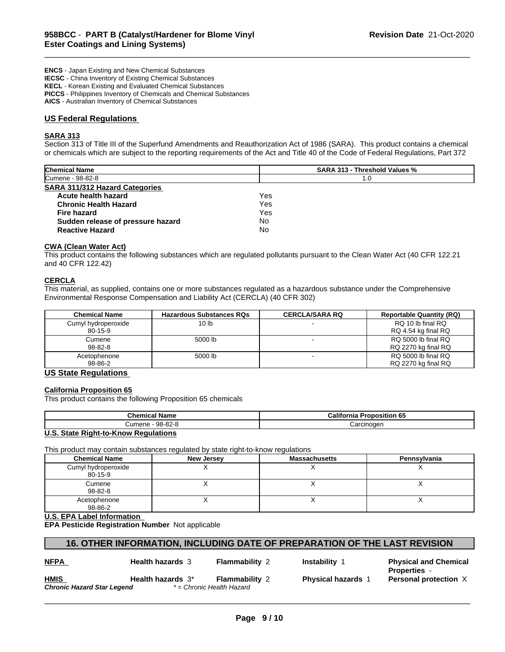**ENCS** - Japan Existing and New Chemical Substances **IECSC** - China Inventory of Existing Chemical Substances **KECL** - Korean Existing and Evaluated Chemical Substances **PICCS** - Philippines Inventory of Chemicals and Chemical Substances

**AICS** - Australian Inventory of Chemical Substances

# **US Federal Regulations**

# **SARA 313**

Section 313 of Title III of the Superfund Amendments and Reauthorization Act of 1986 (SARA). This product contains a chemical or chemicals which are subject to the reporting requirements of the Act and Title 40 of the Code of Federal Regulations, Part 372

\_\_\_\_\_\_\_\_\_\_\_\_\_\_\_\_\_\_\_\_\_\_\_\_\_\_\_\_\_\_\_\_\_\_\_\_\_\_\_\_\_\_\_\_\_\_\_\_\_\_\_\_\_\_\_\_\_\_\_\_\_\_\_\_\_\_\_\_\_\_\_\_\_\_\_\_\_\_\_\_\_\_\_\_\_\_\_\_\_\_\_\_\_

| <b>Chemical Name</b>                  | <b>SARA 313 - Threshold Values %</b> |  |
|---------------------------------------|--------------------------------------|--|
| Cumene - 98-82-8                      | 1.0                                  |  |
| <b>SARA 311/312 Hazard Categories</b> |                                      |  |
| Acute health hazard                   | Yes                                  |  |
| <b>Chronic Health Hazard</b>          | Yes                                  |  |
| <b>Fire hazard</b>                    | Yes                                  |  |
| Sudden release of pressure hazard     | No                                   |  |
| <b>Reactive Hazard</b>                | No                                   |  |

### **CWA (Clean Water Act)**

This product contains the following substances which are regulated pollutants pursuant to the Clean Water Act (40 CFR 122.21 and 40 CFR 122.42)

# **CERCLA**

This material, as supplied, contains one or more substances regulated as a hazardous substance under the Comprehensive Environmental Response Compensation and Liability Act (CERCLA) (40 CFR 302)

| <b>Chemical Name</b>           | <b>Hazardous Substances RQs</b> | <b>CERCLA/SARA RQ</b> | <b>Reportable Quantity (RQ)</b>            |
|--------------------------------|---------------------------------|-----------------------|--------------------------------------------|
| Cumyl hydroperoxide<br>80-15-9 | 10 lb                           |                       | RQ 10 lb final RQ<br>RQ 4.54 kg final RQ   |
| Cumene<br>$98 - 82 - 8$        | 5000 lb                         |                       | RQ 5000 lb final RQ<br>RQ 2270 kg final RQ |
| Acetophenone<br>98-86-2        | 5000 lb                         |                       | RQ 5000 lb final RQ<br>RQ 2270 kg final RQ |

# **US State Regulations**

# **California Proposition 65**

This product contains the following Proposition 65 chemicals

| <b>Chemical Name</b>                      | California<br><b>Proposition 65</b> |
|-------------------------------------------|-------------------------------------|
| Cumene - 98-82-8                          | Carcinoger                          |
| <b>ILO OLIL Blub Li Vasco Bamilettare</b> |                                     |

#### **U.S. State Right-to-Know Regulations**

This product may contain substances regulated by state right-to-know regulations

| <b>Chemical Name</b>           | New Jersey | <b>Massachusetts</b> | Pennsylvania |  |
|--------------------------------|------------|----------------------|--------------|--|
| Cumyl hydroperoxide<br>80-15-9 |            |                      |              |  |
| Cumene<br>$98 - 82 - 8$        |            |                      |              |  |
| Acetophenone<br>98-86-2        |            |                      |              |  |

**U.S. EPA Label Information** 

**EPA Pesticide Registration Number** Not applicable

# **16. OTHER INFORMATION, INCLUDING DATE OF PREPARATION OF THE LAST REVISION**

| ۰.<br>. .<br>× | . .<br>. . | ۰. |
|----------------|------------|----|
|                |            |    |

**Health hazards** 3 **Flammability** 2 **Instability** 1

 $\overline{\phantom{a}}$  ,  $\overline{\phantom{a}}$  ,  $\overline{\phantom{a}}$  ,  $\overline{\phantom{a}}$  ,  $\overline{\phantom{a}}$  ,  $\overline{\phantom{a}}$  ,  $\overline{\phantom{a}}$  ,  $\overline{\phantom{a}}$  ,  $\overline{\phantom{a}}$  ,  $\overline{\phantom{a}}$  ,  $\overline{\phantom{a}}$  ,  $\overline{\phantom{a}}$  ,  $\overline{\phantom{a}}$  ,  $\overline{\phantom{a}}$  ,  $\overline{\phantom{a}}$  ,  $\overline{\phantom{a}}$ 

**Physical hazards 1 Personal protection X Physical and Chemical Properties** -

| <b>HMIS</b>                | Health hazards 3* | <b>Flammability 2</b>     | <b>Phys</b> |
|----------------------------|-------------------|---------------------------|-------------|
| Chronic Hazard Star Legend |                   | * = Chronic Health Hazard |             |